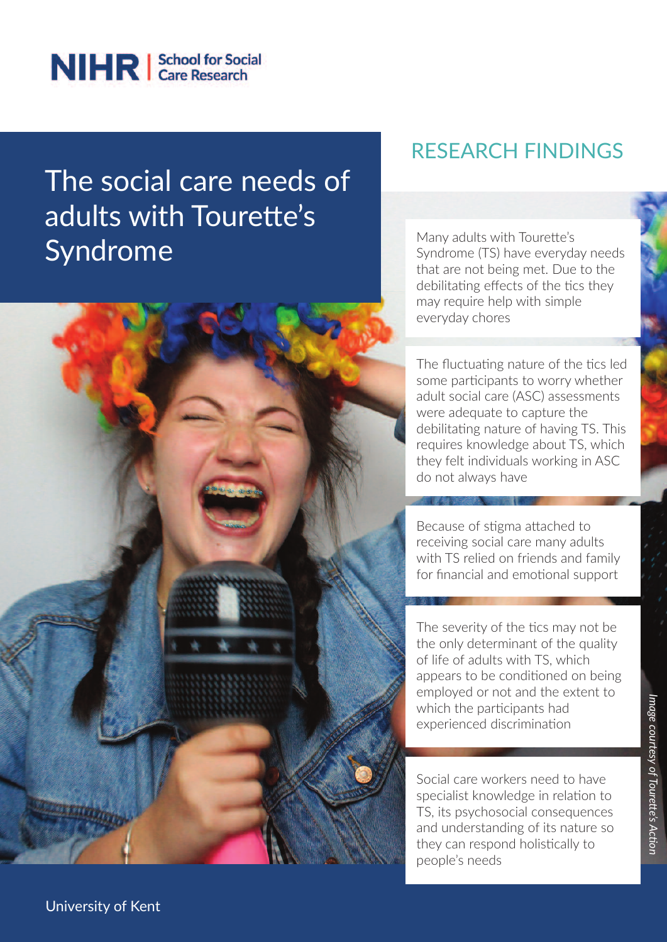

## The social care needs of adults with Tourette's Syndrome

## RESEARCH FINDINgS

Many adults with Tourette's Syndrome (TS) have everyday needs that are not being met. Due to the debilitating effects of the tics they may require help with simple everyday chores

The fluctuating nature of the tics led some participants to worry whether adult social care (ASC) assessments were adequate to capture the debilitating nature of having TS. This requires knowledge about TS, which they felt individuals working in ASC do not always have

Because of stigma attached to receiving social care many adults with TS relied on friends and family for financial and emotional support

The severity of the tics may not be the only determinant of the quality of life of adults with TS, which appears to be conditioned on being employed or not and the extent to which the participants had experienced discrimination

Social care workers need to have specialist knowledge in relation to TS, its psychosocial consequences and understanding of its nature so they can respond holistically to people's needs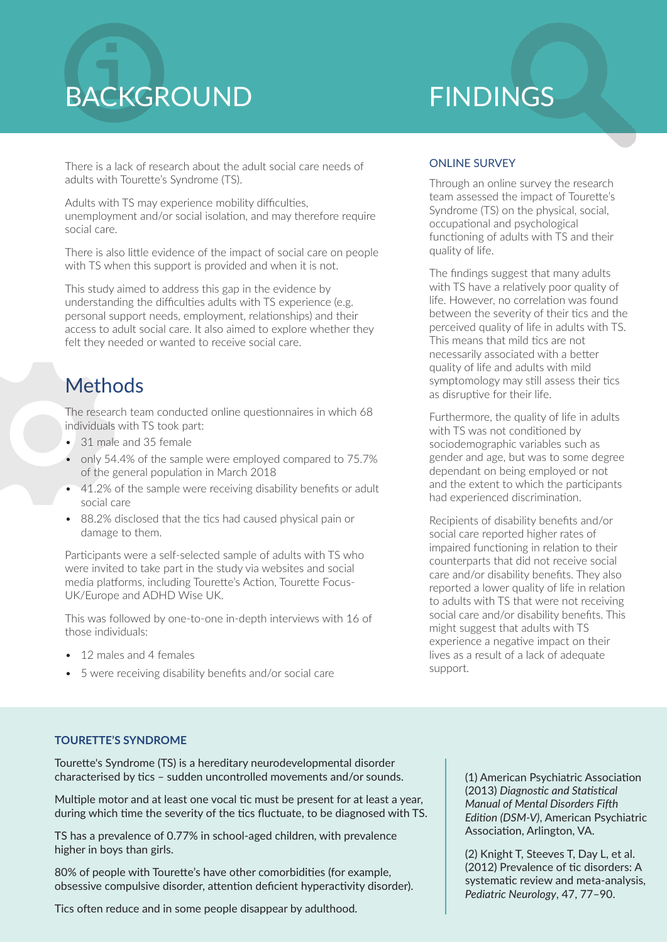# **BACKGROUND FINDINGS**

There is a lack of research about the adult social care needs of adults with Tourette's Syndrome (TS).

Adults with TS may experience mobility difficulties, unemployment and/or social isolation, and may therefore require social care.

There is also little evidence of the impact of social care on people with TS when this support is provided and when it is not.

This study aimed to address this gap in the evidence by understanding the difficulties adults with TS experience (e.g. personal support needs, employment, relationships) and their access to adult social care. It also aimed to explore whether they felt they needed or wanted to receive social care.

## **Methods**

The research team conducted online questionnaires in which 68 individuals with TS took part:

- 31 male and 35 female
- only 54.4% of the sample were employed compared to 75.7% of the general population in March 2018
- 41.2% of the sample were receiving disability benefits or adult social care
- 88.2% disclosed that the tics had caused physical pain or damage to them.

Participants were a self-selected sample of adults with TS who were invited to take part in the study via websites and social media platforms, including Tourette's Action, Tourette Focus-UK/Europe and ADHD Wise UK.

This was followed by one-to-one in-depth interviews with 16 of those individuals:

- 12 males and 4 females
- 5 were receiving disability benefits and/or social care

### ONLINE SURVEy

Through an online survey the research team assessed the impact of Tourette's Syndrome (TS) on the physical, social, occupational and psychological functioning of adults with TS and their quality of life.

The findings suggest that many adults with TS have a relatively poor quality of life. However, no correlation was found between the severity of their tics and the perceived quality of life in adults with TS. This means that mild tics are not necessarily associated with a better quality of life and adults with mild symptomology may still assess their tics as disruptive for their life.

Furthermore, the quality of life in adults with TS was not conditioned by sociodemographic variables such as gender and age, but was to some degree dependant on being employed or not and the extent to which the participants had experienced discrimination.

Recipients of disability benefits and/or social care reported higher rates of impaired functioning in relation to their counterparts that did not receive social care and/or disability benefits. They also reported a lower quality of life in relation to adults with TS that were not receiving social care and/or disability benefits. This might suggest that adults with TS experience a negative impact on their lives as a result of a lack of adequate support.

#### **TOURETTE'S SYNDROME**

Tourette's Syndrome (TS) is a hereditary neurodevelopmental disorder characterised by tics – sudden uncontrolled movements and/or sounds.

Multiple motor and at least one vocal tic must be present for at least a year, during which time the severity of the tics fluctuate, to be diagnosed with TS.

TS has a prevalence of 0.77% in school-aged children, with prevalence higher in boys than girls.

80% of people with Tourette's have other comorbidities (for example, obsessive compulsive disorder, attention deficient hyperactivity disorder).

Tics often reduce and in some people disappear by adulthood.

(1) American Psychiatric Association (2013) *Diagnostic and Statistical Manual of Mental Disorders Fifth Edition (DSM-V)*, American Psychiatric Association, Arlington, VA.

(2) Knight T, Steeves T, Day L, et al. (2012) Prevalence of tic disorders: A systematic review and meta-analysis, *Pediatric Neurology*, 47, 77–90.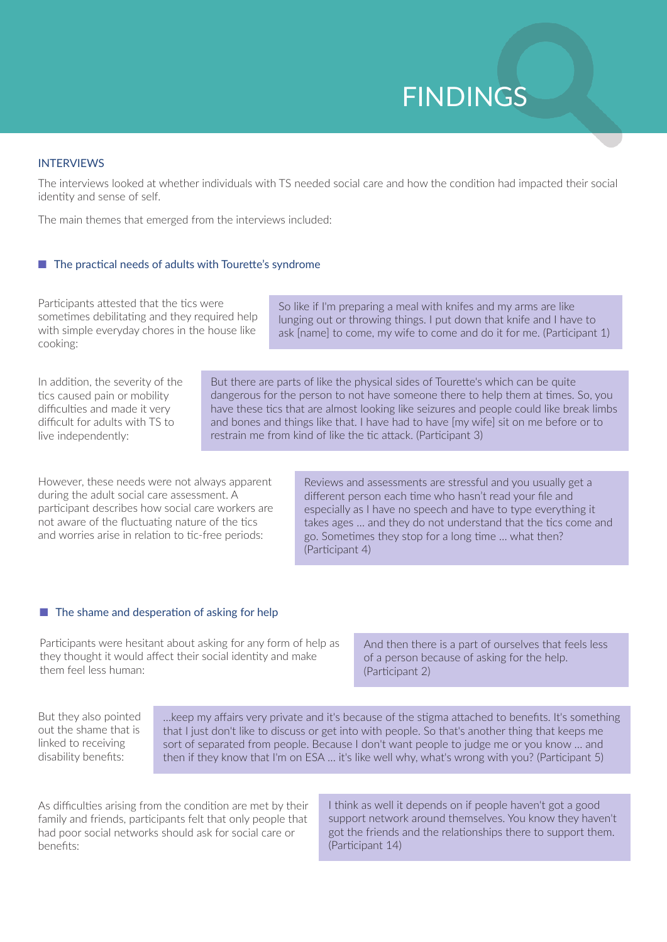## FINDINgS

#### INTERVIEWS

The interviews looked at whether individuals with TS needed social care and how the condition had impacted their social identity and sense of self.

The main themes that emerged from the interviews included:

#### $\blacksquare$  The practical needs of adults with Tourette's syndrome

Participants attested that the tics were sometimes debilitating and they required help with simple everyday chores in the house like cooking:

So like if I'm preparing a meal with knifes and my arms are like lunging out or throwing things. I put down that knife and I have to ask [name] to come, my wife to come and do it for me. (Participant 1)

In addition, the severity of the tics caused pain or mobility difficulties and made it very difficult for adults with TS to live independently:

But there are parts of like the physical sides of Tourette's which can be quite dangerous for the person to not have someone there to help them at times. So, you have these tics that are almost looking like seizures and people could like break limbs and bones and things like that. I have had to have [my wife] sit on me before or to restrain me from kind of like the tic attack. (Participant 3)

However, these needs were not always apparent during the adult social care assessment. A participant describes how social care workers are not aware of the fluctuating nature of the tics and worries arise in relation to tic-free periods:

Reviews and assessments are stressful and you usually get a different person each time who hasn't read your file and especially as I have no speech and have to type everything it takes ages … and they do not understand that the tics come and go. Sometimes they stop for a long time … what then? (Participant 4)

#### $\blacksquare$  The shame and desperation of asking for help

Participants were hesitant about asking for any form of help as they thought it would affect their social identity and make them feel less human:

And then there is a part of ourselves that feels less of a person because of asking for the help. (Participant 2)

But they also pointed out the shame that is linked to receiving disability benefits:

…keep my affairs very private and it's because of the stigma attached to benefits. It's something that I just don't like to discuss or get into with people. So that's another thing that keeps me sort of separated from people. Because I don't want people to judge me or you know … and then if they know that I'm on ESA … it's like well why, what's wrong with you? (Participant 5)

As difficulties arising from the condition are met by their family and friends, participants felt that only people that had poor social networks should ask for social care or benefits:

I think as well it depends on if people haven't got a good support network around themselves. You know they haven't got the friends and the relationships there to support them. (Participant 14)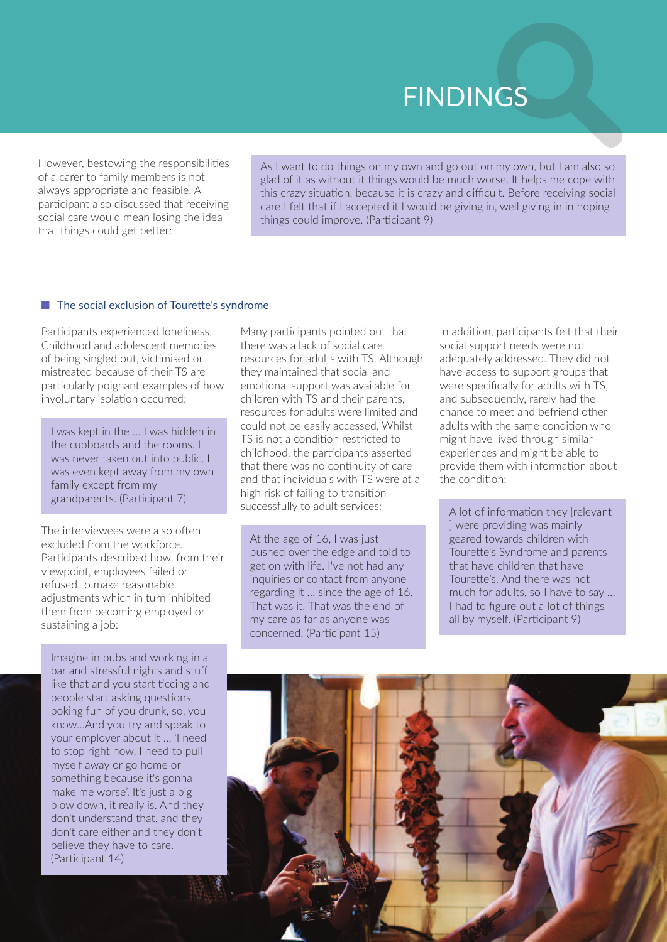## **FINDINGS**

However, bestowing the responsibilities of a carer to family members is not always appropriate and feasible. A participant also discussed that receiving social care would mean losing the idea that things could get better:

As I want to do things on my own and go out on my own, but I am also so glad of it as without it things would be much worse. It helps me cope with this crazy situation, because it is crazy and difficult. Before receiving social care I felt that if I accepted it I would be giving in, well giving in in hoping things could improve. (Participant 9)

#### $\blacksquare$  The social exclusion of Tourette's syndrome

Participants experienced loneliness. Childhood and adolescent memories of being singled out, victimised or mistreated because of their TS are particularly poignant examples of how involuntary isolation occurred:

I was kept in the … I was hidden in the cupboards and the rooms. I was never taken out into public. I was even kept away from my own family except from my grandparents. (Participant 7)

The interviewees were also often excluded from the workforce. Participants described how, from their viewpoint, employees failed or refused to make reasonable adjustments which in turn inhibited them from becoming employed or sustaining a job:

Imagine in pubs and working in a bar and stressful nights and stuff like that and you start ticcing and people start asking questions, poking fun of you drunk, so, you know…And you try and speak to your employer about it … 'I need to stop right now, I need to pull myself away or go home or something because it's gonna make me worse'. It's just a big blow down, it really is. And they don't understand that, and they don't care either and they don't believe they have to care. (Participant 14)

Many participants pointed out that there was a lack of social care resources for adults with TS. Although they maintained that social and emotional support was available for children with TS and their parents, resources for adults were limited and could not be easily accessed. Whilst TS is not a condition restricted to childhood, the participants asserted that there was no continuity of care and that individuals with TS were at a high risk of failing to transition successfully to adult services:

At the age of 16, I was just pushed over the edge and told to get on with life. I've not had any inquiries or contact from anyone regarding it … since the age of 16. That was it. That was the end of my care as far as anyone was concerned. (Participant 15)

In addition, participants felt that their social support needs were not adequately addressed. They did not have access to support groups that were specifically for adults with TS, and subsequently, rarely had the chance to meet and befriend other adults with the same condition who might have lived through similar experiences and might be able to provide them with information about the condition:

A lot of information they [relevant ] were providing was mainly geared towards children with Tourette's Syndrome and parents that have children that have Tourette's. And there was not much for adults, so I have to say … I had to figure out a lot of things all by myself. (Participant 9)

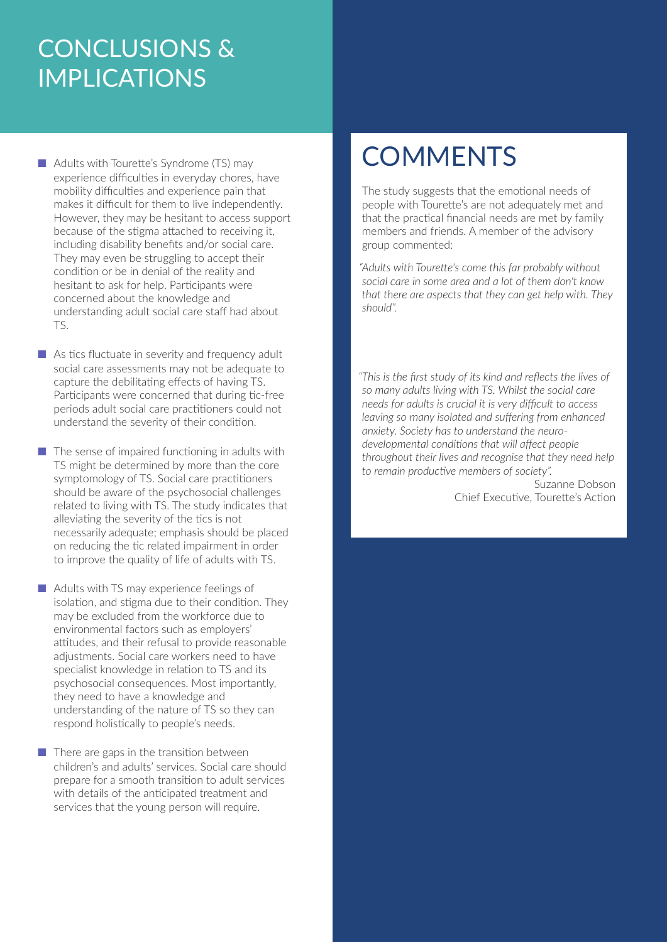## CONCLUSIONS &  IMPLICATIONS

 $\blacksquare$  Adults with Tourette's Syndrome (TS) may experience difficulties in everyday chores, have mobility difficulties and experience pain that makes it difficult for them to live independently. However, they may be hesitant to access support because of the stigma attached to receiving it, including disability benefits and/or social care. They may even be struggling to accept their condition or be in denial of the reality and hesitant to ask for help. Participants were concerned about the knowledge and understanding adult social care staff had about TS.

 $\blacksquare$  As tics fluctuate in severity and frequency adult social care assessments may not be adequate to capture the debilitating effects of having TS. Participants were concerned that during tic-free periods adult social care practitioners could not understand the severity of their condition.

- $\blacksquare$  The sense of impaired functioning in adults with TS might be determined by more than the core symptomology of TS. Social care practitioners should be aware of the psychosocial challenges related to living with TS. The study indicates that alleviating the severity of the tics is not necessarily adequate; emphasis should be placed on reducing the tic related impairment in order to improve the quality of life of adults with TS.
- $\blacksquare$  Adults with TS may experience feelings of isolation, and stigma due to their condition. They may be excluded from the workforce due to environmental factors such as employers' attitudes, and their refusal to provide reasonable adjustments. Social care workers need to have specialist knowledge in relation to TS and its psychosocial consequences. Most importantly, they need to have a knowledge and understanding of the nature of TS so they can respond holistically to people's needs.

 $\blacksquare$  There are gaps in the transition between children's and adults' services. Social care should prepare for a smooth transition to adult services with details of the anticipated treatment and services that the young person will require.

## **COMMENTS**

The study suggests that the emotional needs of people with Tourette's are not adequately met and that the practical financial needs are met by family members and friends. A member of the advisory group commented:

*"Adults with Tourette's come this far probably without social care in some area and a lot of them don't know that there are aspects that they can get help with. They should".*

*"This is the first study of its kind and reflects the lives of so many adults living with TS. Whilst the social care needs for adults is crucial it is very difficult to access leaving so many isolated and suffering from enhanced anxiety. Society has to understand the neurodevelopmental conditions that will affect people throughout their lives and recognise that they need help to remain productive members of society".* 

Suzanne Dobson Chief Executive, Tourette's Action